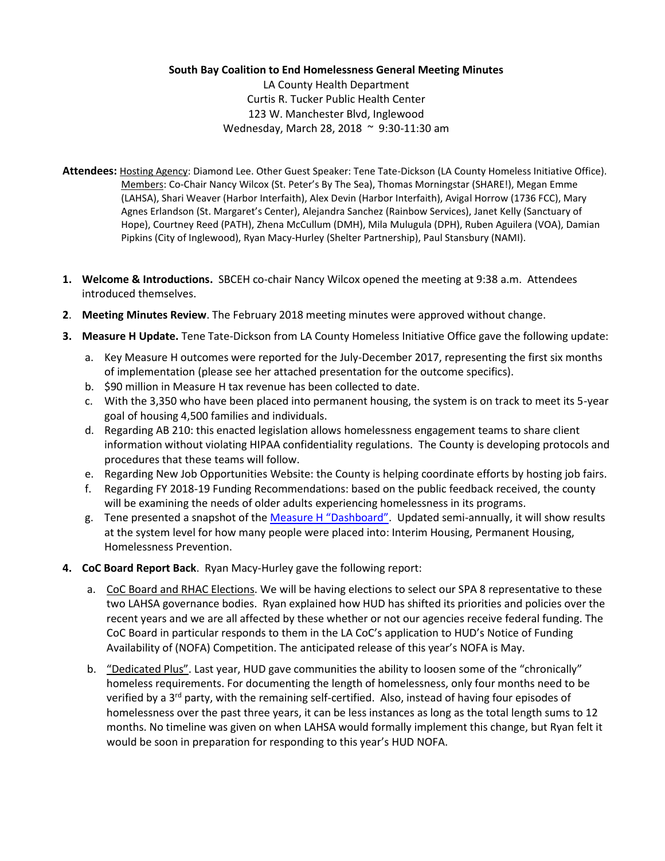## **South Bay Coalition to End Homelessness General Meeting Minutes**

LA County Health Department Curtis R. Tucker Public Health Center 123 W. Manchester Blvd, Inglewood Wednesday, March 28, 2018 ~ 9:30-11:30 am

- **Attendees:** Hosting Agency: Diamond Lee. Other Guest Speaker: Tene Tate-Dickson (LA County Homeless Initiative Office). Members: Co-Chair Nancy Wilcox (St. Peter's By The Sea), Thomas Morningstar (SHARE!), Megan Emme (LAHSA), Shari Weaver (Harbor Interfaith), Alex Devin (Harbor Interfaith), Avigal Horrow (1736 FCC), Mary Agnes Erlandson (St. Margaret's Center), Alejandra Sanchez (Rainbow Services), Janet Kelly (Sanctuary of Hope), Courtney Reed (PATH), Zhena McCullum (DMH), Mila Mulugula (DPH), Ruben Aguilera (VOA), Damian Pipkins (City of Inglewood), Ryan Macy-Hurley (Shelter Partnership), Paul Stansbury (NAMI).
- **1. Welcome & Introductions.** SBCEH co-chair Nancy Wilcox opened the meeting at 9:38 a.m. Attendees introduced themselves.
- **2**. **Meeting Minutes Review**. The February 2018 meeting minutes were approved without change.
- **3. Measure H Update.** Tene Tate-Dickson from LA County Homeless Initiative Office gave the following update:
	- a. Key Measure H outcomes were reported for the July-December 2017, representing the first six months of implementation (please see her attached presentation for the outcome specifics).
	- b. \$90 million in Measure H tax revenue has been collected to date.
	- c. With the 3,350 who have been placed into permanent housing, the system is on track to meet its 5-year goal of housing 4,500 families and individuals.
	- d. Regarding AB 210: this enacted legislation allows homelessness engagement teams to share client information without violating HIPAA confidentiality regulations. The County is developing protocols and procedures that these teams will follow.
	- e. Regarding New Job Opportunities Website: the County is helping coordinate efforts by hosting job fairs.
	- f. Regarding FY 2018-19 Funding Recommendations: based on the public feedback received, the county will be examining the needs of older adults experiencing homelessness in its programs.
	- g. Tene presented a snapshot of the [Measure H "Dashboard"](http://homeless.lacounty.gov/impact-dashboard/). Updated semi-annually, it will show results at the system level for how many people were placed into: Interim Housing, Permanent Housing, Homelessness Prevention.
- **4. CoC Board Report Back**. Ryan Macy-Hurley gave the following report:
	- a. CoC Board and RHAC Elections. We will be having elections to select our SPA 8 representative to these two LAHSA governance bodies. Ryan explained how HUD has shifted its priorities and policies over the recent years and we are all affected by these whether or not our agencies receive federal funding. The CoC Board in particular responds to them in the LA CoC's application to HUD's Notice of Funding Availability of (NOFA) Competition. The anticipated release of this year's NOFA is May.
	- b. "Dedicated Plus". Last year, HUD gave communities the ability to loosen some of the "chronically" homeless requirements. For documenting the length of homelessness, only four months need to be verified by a 3<sup>rd</sup> party, with the remaining self-certified. Also, instead of having four episodes of homelessness over the past three years, it can be less instances as long as the total length sums to 12 months. No timeline was given on when LAHSA would formally implement this change, but Ryan felt it would be soon in preparation for responding to this year's HUD NOFA.